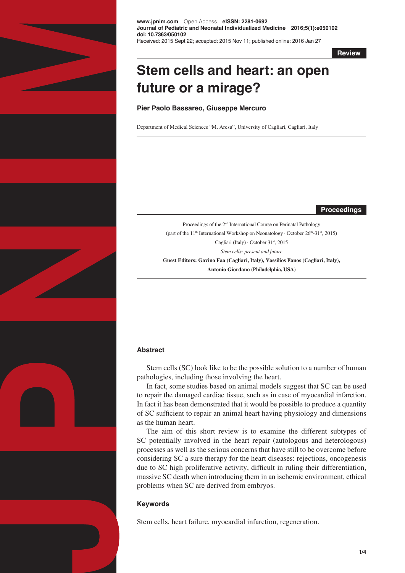

**www.jpnim.com** Open Access **eISSN: 2281-0692 Journal of Pediatric and Neonatal Individualized Medicine 2016;5(1):e050102 doi: 10.7363/050102** Received: 2015 Sept 22; accepted: 2015 Nov 11; published online: 2016 Jan 27

**Review**

# **Stem cells and heart: an open future or a mirage?**

**Pier Paolo Bassareo, Giuseppe Mercuro**

Department of Medical Sciences "M. Aresu", University of Cagliari, Cagliari, Italy

**Proceedings**

Proceedings of the 2nd International Course on Perinatal Pathology (part of the 11<sup>th</sup> International Workshop on Neonatology · October 26<sup>th</sup>-31<sup>st</sup>, 2015) Cagliari (Italy) · October 31st, 2015 *Stem cells: present and future*  **Guest Editors: Gavino Faa (Cagliari, Italy), Vassilios Fanos (Cagliari, Italy),** 

**Antonio Giordano (Philadelphia, USA)**

## **Abstract**

Stem cells (SC) look like to be the possible solution to a number of human pathologies, including those involving the heart.

In fact, some studies based on animal models suggest that SC can be used to repair the damaged cardiac tissue, such as in case of myocardial infarction. In fact it has been demonstrated that it would be possible to produce a quantity of SC sufficient to repair an animal heart having physiology and dimensions as the human heart.

The aim of this short review is to examine the different subtypes of SC potentially involved in the heart repair (autologous and heterologous) processes as well as the serious concerns that have still to be overcome before considering SC a sure therapy for the heart diseases: rejections, oncogenesis due to SC high proliferative activity, difficult in ruling their differentiation, massive SC death when introducing them in an ischemic environment, ethical problems when SC are derived from embryos.

## **Keywords**

Stem cells, heart failure, myocardial infarction, regeneration.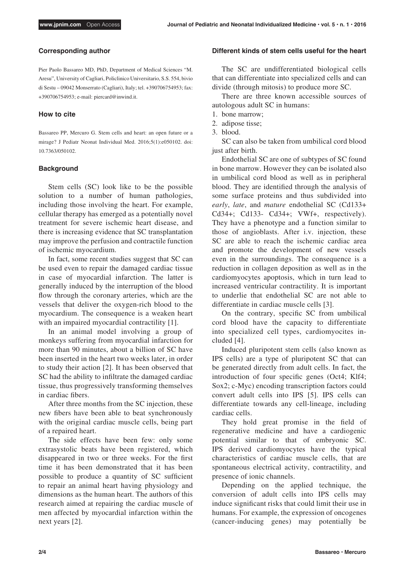## **Corresponding author**

Pier Paolo Bassareo MD, PhD, Department of Medical Sciences "M. Aresu", University of Cagliari, Policlinico Universitario, S.S. 554, bivio di Sestu – 09042 Monserrato (Cagliari), Italy; tel. +390706754953; fax: +390706754953; e-mail: piercard@inwind.it.

## **How to cite**

Bassareo PP, Mercuro G. Stem cells and heart: an open future or a mirage? J Pediatr Neonat Individual Med. 2016;5(1):e050102. doi: 10.7363/050102.

## **Background**

Stem cells (SC) look like to be the possible solution to a number of human pathologies, including those involving the heart. For example, cellular therapy has emerged as a potentially novel treatment for severe ischemic heart disease, and there is increasing evidence that SC transplantation may improve the perfusion and contractile function of ischemic myocardium.

In fact, some recent studies suggest that SC can be used even to repair the damaged cardiac tissue in case of myocardial infarction. The latter is generally induced by the interruption of the blood flow through the coronary arteries, which are the vessels that deliver the oxygen-rich blood to the myocardium. The consequence is a weaken heart with an impaired myocardial contractility [1].

In an animal model involving a group of monkeys suffering from myocardial infarction for more than 90 minutes, about a billion of SC have been inserted in the heart two weeks later, in order to study their action [2]. It has been observed that SC had the ability to infiltrate the damaged cardiac tissue, thus progressively transforming themselves in cardiac fibers.

After three months from the SC injection, these new fibers have been able to beat synchronously with the original cardiac muscle cells, being part of a repaired heart.

The side effects have been few: only some extrasystolic beats have been registered, which disappeared in two or three weeks. For the first time it has been demonstrated that it has been possible to produce a quantity of SC sufficient to repair an animal heart having physiology and dimensions as the human heart. The authors of this research aimed at repairing the cardiac muscle of men affected by myocardial infarction within the next years [2].

### **Different kinds of stem cells useful for the heart**

The SC are undifferentiated biological cells that can differentiate into specialized cells and can divide (through mitosis) to produce more SC.

There are three known accessible sources of autologous adult SC in humans:

- 1. bone marrow;
- 2. adipose tisse;
- 3. blood.

SC can also be taken from umbilical cord blood just after birth.

Endothelial SC are one of subtypes of SC found in bone marrow. However they can be isolated also in umbilical cord blood as well as in peripheral blood. They are identified through the analysis of some surface proteins and thus subdivided into *early*, *late*, and *mature* endothelial SC (Cd133+ Cd34+; Cd133- Cd34+; VWf+, respectively). They have a phenotype and a function similar to those of angioblasts. After i.v. injection, these SC are able to reach the ischemic cardiac area and promote the development of new vessels even in the surroundings. The consequence is a reduction in collagen deposition as well as in the cardiomyocytes apoptosis, which in turn lead to increased ventricular contractility. It is important to underlie that endothelial SC are not able to differentiate in cardiac muscle cells [3].

On the contrary, specific SC from umbilical cord blood have the capacity to differentiate into specialized cell types, cardiomyocites included [4].

Induced pluripotent stem cells (also known as IPS cells) are a type of pluripotent SC that can be generated directly from adult cells. In fact, the introduction of four specific genes (Oct4; Klf4; Sox2; c-Myc) encoding transcription factors could convert adult cells into IPS [5]. IPS cells can differentiate towards any cell-lineage, including cardiac cells.

They hold great promise in the field of regenerative medicine and have a cardiogenic potential similar to that of embryonic SC. IPS derived cardiomyocytes have the typical characteristics of cardiac muscle cells, that are spontaneous electrical activity, contractility, and presence of ionic channels.

Depending on the applied technique, the conversion of adult cells into IPS cells may induce significant risks that could limit their use in humans. For example, the expression of oncogenes (cancer-inducing genes) may potentially be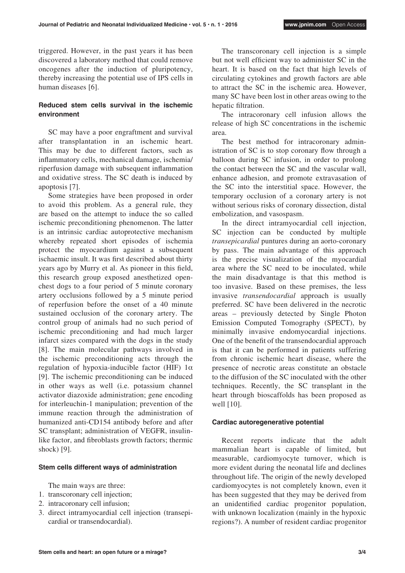triggered. However, in the past years it has been discovered a laboratory method that could remove oncogenes after the induction of pluripotency, thereby increasing the potential use of IPS cells in human diseases [6].

## **Reduced stem cells survival in the ischemic environment**

SC may have a poor engraftment and survival after transplantation in an ischemic heart. This may be due to different factors, such as inflammatory cells, mechanical damage, ischemia/ riperfusion damage with subsequent inflammation and oxidative stress. The SC death is induced by apoptosis [7].

Some strategies have been proposed in order to avoid this problem. As a general rule, they are based on the attempt to induce the so called ischemic preconditioning phenomenon. The latter is an intrinsic cardiac autoprotective mechanism whereby repeated short episodes of ischemia protect the myocardium against a subsequent ischaemic insult. It was first described about thirty years ago by Murry et al. As pioneer in this field, this research group exposed anesthetized openchest dogs to a four period of 5 minute coronary artery occlusions followed by a 5 minute period of reperfusion before the onset of a 40 minute sustained occlusion of the coronary artery. The control group of animals had no such period of ischemic preconditioning and had much larger infarct sizes compared with the dogs in the study [8]. The main molecular pathways involved in the ischemic preconditioning acts through the regulation of hypoxia-inducible factor (HIF)  $1α$ [9]. The ischemic preconditioning can be induced in other ways as well (i.e. potassium channel activator diazoxide administration; gene encoding for interleuchin-1 manipulation; prevention of the immune reaction through the administration of humanized anti-CD154 antibody before and after SC transplant; administration of VEGFR, insulinlike factor, and fibroblasts growth factors; thermic shock) [9].

## **Stem cells different ways of administration**

The main ways are three:

- 1. transcoronary cell injection;
- 2. intracoronary cell infusion;
- 3. direct intramyocardial cell injection (transepicardial or transendocardial).

The transcoronary cell injection is a simple but not well efficient way to administer SC in the heart. It is based on the fact that high levels of circulating cytokines and growth factors are able to attract the SC in the ischemic area. However, many SC have been lost in other areas owing to the hepatic filtration.

The intracoronary cell infusion allows the release of high SC concentrations in the ischemic area.

The best method for intracoronary administration of SC is to stop coronary flow through a balloon during SC infusion, in order to prolong the contact between the SC and the vascular wall, enhance adhesion, and promote extravasation of the SC into the interstitial space. However, the temporary occlusion of a coronary artery is not without serious risks of coronary dissection, distal embolization, and vasospasm.

In the direct intramyocardial cell injection, SC injection can be conducted by multiple *transepicardial* puntures during an aorto-coronary by pass. The main advantage of this approach is the precise visualization of the myocardial area where the SC need to be inoculated, while the main disadvantage is that this method is too invasive. Based on these premises, the less invasive *transendocardial* approach is usually preferred. SC have been delivered in the necrotic areas – previously detected by Single Photon Emission Computed Tomography (SPECT), by minimally invasive endomyocardial injections. One of the benefit of the transendocardial approach is that it can be performed in patients suffering from chronic ischemic heart disease, where the presence of necrotic areas constitute an obstacle to the diffusion of the SC inoculated with the other techniques. Recently, the SC transplant in the heart through bioscaffolds has been proposed as well [10].

## **Cardiac autoregenerative potential**

Recent reports indicate that the adult mammalian heart is capable of limited, but measurable, cardiomyocyte turnover, which is more evident during the neonatal life and declines throughout life. The origin of the newly developed cardiomyocytes is not completely known, even it has been suggested that they may be derived from an unidentified cardiac progenitor population, with unknown localization (mainly in the hypoxic regions?). A number of resident cardiac progenitor